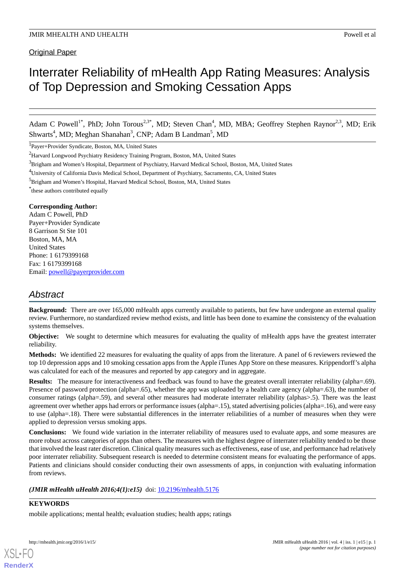# Interrater Reliability of mHealth App Rating Measures: Analysis of Top Depression and Smoking Cessation Apps

Adam C Powell<sup>1\*</sup>, PhD; John Torous<sup>2,3\*</sup>, MD; Steven Chan<sup>4</sup>, MD, MBA; Geoffrey Stephen Raynor<sup>2,3</sup>, MD; Erik Shwarts<sup>4</sup>, MD; Meghan Shanahan<sup>3</sup>, CNP; Adam B Landman<sup>5</sup>, MD

1 Payer+Provider Syndicate, Boston, MA, United States

\* these authors contributed equally

### **Corresponding Author:**

Adam C Powell, PhD Payer+Provider Syndicate 8 Garrison St Ste 101 Boston, MA, MA United States Phone: 1 6179399168 Fax: 1 6179399168 Email: [powell@payerprovider.com](mailto:powell@payerprovider.com)

## *Abstract*

**Background:** There are over 165,000 mHealth apps currently available to patients, but few have undergone an external quality review. Furthermore, no standardized review method exists, and little has been done to examine the consistency of the evaluation systems themselves.

**Objective:** We sought to determine which measures for evaluating the quality of mHealth apps have the greatest interrater reliability.

**Methods:** We identified 22 measures for evaluating the quality of apps from the literature. A panel of 6 reviewers reviewed the top 10 depression apps and 10 smoking cessation apps from the Apple iTunes App Store on these measures. Krippendorff's alpha was calculated for each of the measures and reported by app category and in aggregate.

**Results:** The measure for interactiveness and feedback was found to have the greatest overall interrater reliability (alpha=.69). Presence of password protection (alpha=.65), whether the app was uploaded by a health care agency (alpha=.63), the number of consumer ratings (alpha=.59), and several other measures had moderate interrater reliability (alphas>.5). There was the least agreement over whether apps had errors or performance issues (alpha=.15), stated advertising policies (alpha=.16), and were easy to use (alpha=.18). There were substantial differences in the interrater reliabilities of a number of measures when they were applied to depression versus smoking apps.

**Conclusions:** We found wide variation in the interrater reliability of measures used to evaluate apps, and some measures are more robust across categories of apps than others. The measures with the highest degree of interrater reliability tended to be those that involved the least rater discretion. Clinical quality measures such as effectiveness, ease of use, and performance had relatively poor interrater reliability. Subsequent research is needed to determine consistent means for evaluating the performance of apps. Patients and clinicians should consider conducting their own assessments of apps, in conjunction with evaluating information from reviews.

### *(JMIR mHealth uHealth 2016;4(1):e15)* doi:  $10.2196/m$ health.5176

### **KEYWORDS**

[XSL](http://www.w3.org/Style/XSL)•FO **[RenderX](http://www.renderx.com/)**

mobile applications; mental health; evaluation studies; health apps; ratings

<sup>2</sup>Harvard Longwood Psychiatry Residency Training Program, Boston, MA, United States

 $3B$ righam and Women's Hospital, Department of Psychiatry, Harvard Medical School, Boston, MA, United States

<sup>4</sup>University of California Davis Medical School, Department of Psychiatry, Sacramento, CA, United States

<sup>&</sup>lt;sup>5</sup>Brigham and Women's Hospital, Harvard Medical School, Boston, MA, United States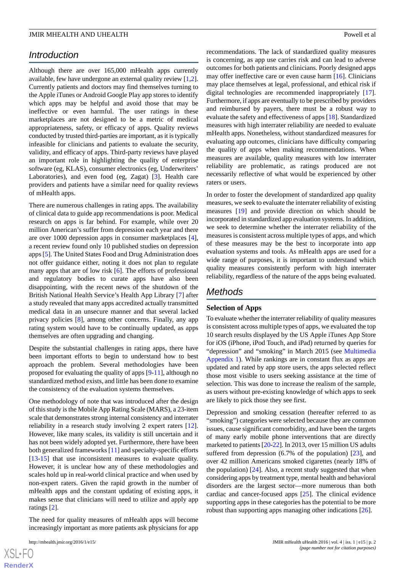### *Introduction*

Although there are over 165,000 mHealth apps currently available, few have undergone an external quality review [\[1](#page-6-0),[2\]](#page-6-1). Currently patients and doctors may find themselves turning to the Apple iTunes or Android Google Play app stores to identify which apps may be helpful and avoid those that may be ineffective or even harmful. The user ratings in these marketplaces are not designed to be a metric of medical appropriateness, safety, or efficacy of apps. Quality reviews conducted by trusted third-parties are important, as it is typically infeasible for clinicians and patients to evaluate the security, validity, and efficacy of apps. Third-party reviews have played an important role in highlighting the quality of enterprise software (eg, KLAS), consumer electronics (eg, Underwriters' Laboratories), and even food (eg, Zagat) [[3\]](#page-6-2). Health care providers and patients have a similar need for quality reviews of mHealth apps.

There are numerous challenges in rating apps. The availability of clinical data to guide app recommendations is poor. Medical research on apps is far behind. For example, while over 20 million American's suffer from depression each year and there are over 1000 depression apps in consumer marketplaces [[4\]](#page-6-3), a recent review found only 10 published studies on depression apps [[5\]](#page-6-4). The United States Food and Drug Administration does not offer guidance either, noting it does not plan to regulate many apps that are of low risk [\[6](#page-6-5)]. The efforts of professional and regulatory bodies to curate apps have also been disappointing, with the recent news of the shutdown of the British National Health Service's Health App Library [\[7](#page-6-6)] after a study revealed that many apps accredited actually transmitted medical data in an unsecure manner and that several lacked privacy policies [[8\]](#page-6-7), among other concerns. Finally, any app rating system would have to be continually updated, as apps themselves are often upgrading and changing.

Despite the substantial challenges in rating apps, there have been important efforts to begin to understand how to best approach the problem. Several methodologies have been proposed for evaluating the quality of apps [[9](#page-6-8)[-11](#page-7-0)], although no standardized method exists, and little has been done to examine the consistency of the evaluation systems themselves.

One methodology of note that was introduced after the design of this study is the Mobile App Rating Scale (MARS), a 23-item scale that demonstrates strong internal consistency and interrater reliability in a research study involving 2 expert raters [[12\]](#page-7-1). However, like many scales, its validity is still uncertain and it has not been widely adopted yet. Furthermore, there have been both generalized frameworks [[11\]](#page-7-0) and specialty-specific efforts [[13](#page-7-2)[-15](#page-7-3)] that use inconsistent measures to evaluate quality. However, it is unclear how any of these methodologies and scales hold up in real-world clinical practice and when used by non-expert raters. Given the rapid growth in the number of mHealth apps and the constant updating of existing apps, it makes sense that clinicians will need to utilize and apply app ratings [[2\]](#page-6-1).

The need for quality measures of mHealth apps will become increasingly important as more patients ask physicians for app

 $XS$  • FC **[RenderX](http://www.renderx.com/)** recommendations. The lack of standardized quality measures is concerning, as app use carries risk and can lead to adverse outcomes for both patients and clinicians. Poorly designed apps may offer ineffective care or even cause harm [[16\]](#page-7-4). Clinicians may place themselves at legal, professional, and ethical risk if digital technologies are recommended inappropriately [[17\]](#page-7-5). Furthermore, if apps are eventually to be prescribed by providers and reimbursed by payers, there must be a robust way to evaluate the safety and effectiveness of apps [[18\]](#page-7-6). Standardized measures with high interrater reliability are needed to evaluate mHealth apps. Nonetheless, without standardized measures for evaluating app outcomes, clinicians have difficulty comparing the quality of apps when making recommendations. When measures are available, quality measures with low interrater reliability are problematic, as ratings produced are not necessarily reflective of what would be experienced by other raters or users.

In order to foster the development of standardized app quality measures, we seek to evaluate the interrater reliability of existing measures [[19\]](#page-7-7) and provide direction on which should be incorporated in standardized app evaluation systems. In addition, we seek to determine whether the interrater reliability of the measures is consistent across multiple types of apps, and which of these measures may be the best to incorporate into app evaluation systems and tools. As mHealth apps are used for a wide range of purposes, it is important to understand which quality measures consistently perform with high interrater reliability, regardless of the nature of the apps being evaluated.

### *Methods*

### **Selection of Apps**

To evaluate whether the interrater reliability of quality measures is consistent across multiple types of apps, we evaluated the top 10 search results displayed by the US Apple iTunes App Store for iOS (iPhone, iPod Touch, and iPad) returned by queries for "depression" and "smoking" in March 2015 (see [Multimedia](#page-6-9) [Appendix 1](#page-6-9)). While rankings are in constant flux as apps are updated and rated by app store users, the apps selected reflect those most visible to users seeking assistance at the time of selection. This was done to increase the realism of the sample, as users without pre-existing knowledge of which apps to seek are likely to pick those they see first.

Depression and smoking cessation (hereafter referred to as "smoking") categories were selected because they are common issues, cause significant comorbidity, and have been the targets of many early mobile phone interventions that are directly marketed to patients [[20-](#page-7-8)[22\]](#page-7-9). In 2013, over 15 million US adults suffered from depression (6.7% of the population) [[23\]](#page-7-10), and over 42 million Americans smoked cigarettes (nearly 18% of the population)  $[24]$  $[24]$ . Also, a recent study suggested that when considering apps by treatment type, mental health and behavioral disorders are the largest sector—more numerous than both cardiac and cancer-focused apps [[25\]](#page-7-12). The clinical evidence supporting apps in these categories has the potential to be more robust than supporting apps managing other indications [[26\]](#page-7-13).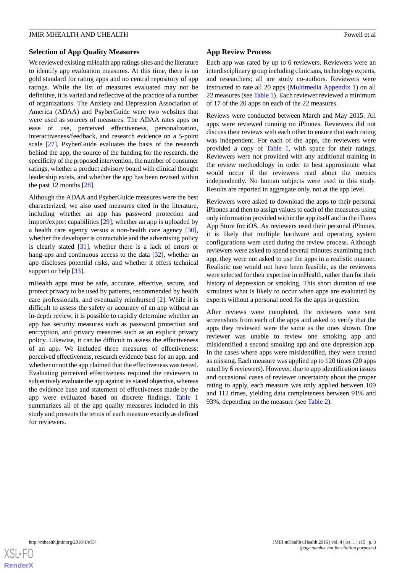### **Selection of App Quality Measures**

We reviewed existing mHealth app ratings sites and the literature to identify app evaluation measures. At this time, there is no gold standard for rating apps and no central repository of app ratings. While the list of measures evaluated may not be definitive, it is varied and reflective of the practice of a number of organizations. The Anxiety and Depression Association of America (ADAA) and PsyberGuide were two websites that were used as sources of measures. The ADAA rates apps on ease of use, perceived effectiveness, personalization, interactiveness/feedback, and research evidence on a 5-point scale [\[27](#page-7-14)]. PsyberGuide evaluates the basis of the research behind the app, the source of the funding for the research, the specificity of the proposed intervention, the number of consumer ratings, whether a product advisory board with clinical thought leadership exists, and whether the app has been revised within the past 12 months [[28\]](#page-7-15).

Although the ADAA and PsyberGuide measures were the best characterized, we also used measures cited in the literature, including whether an app has password protection and import/export capabilities [\[29](#page-7-16)], whether an app is uploaded by a health care agency versus a non-health care agency [[30\]](#page-7-17), whether the developer is contactable and the advertising policy is clearly stated [[31\]](#page-7-18), whether there is a lack of errors or hang-ups and continuous access to the data [\[32](#page-7-19)], whether an app discloses potential risks, and whether it offers technical support or help [[33\]](#page-7-20).

mHealth apps must be safe, accurate, effective, secure, and protect privacy to be used by patients, recommended by health care professionals, and eventually reimbursed [\[2](#page-6-1)]. While it is difficult to assess the safety or accuracy of an app without an in-depth review, it is possible to rapidly determine whether an app has security measures such as password protection and encryption, and privacy measures such as an explicit privacy policy. Likewise, it can be difficult to assess the effectiveness of an app. We included three measures of effectiveness: perceived effectiveness, research evidence base for an app, and whether or not the app claimed that the effectiveness was tested. Evaluating perceived effectiveness required the reviewers to subjectively evaluate the app against its stated objective, whereas the evidence base and statement of effectiveness made by the app were evaluated based on discrete findings. [Table 1](#page-3-0) summarizes all of the app quality measures included in this study and presents the terms of each measure exactly as defined for reviewers.

### **App Review Process**

Each app was rated by up to 6 reviewers. Reviewers were an interdisciplinary group including clinicians, technology experts, and researchers; all are study co-authors. Reviewers were instructed to rate all 20 apps ([Multimedia Appendix 1](#page-6-9)) on all 22 measures (see [Table 1](#page-3-0)). Each reviewer reviewed a minimum of 17 of the 20 apps on each of the 22 measures.

Reviews were conducted between March and May 2015. All apps were reviewed running on iPhones. Reviewers did not discuss their reviews with each other to ensure that each rating was independent. For each of the apps, the reviewers were provided a copy of [Table 1](#page-3-0), with space for their ratings. Reviewers were not provided with any additional training in the review methodology in order to best approximate what would occur if the reviewers read about the metrics independently. No human subjects were used in this study. Results are reported in aggregate only, not at the app level.

Reviewers were asked to download the apps to their personal iPhones and then to assign values to each of the measures using only information provided within the app itself and in the iTunes App Store for iOS. As reviewers used their personal iPhones, it is likely that multiple hardware and operating system configurations were used during the review process. Although reviewers were asked to spend several minutes examining each app, they were not asked to use the apps in a realistic manner. Realistic use would not have been feasible, as the reviewers were selected for their expertise in mHealth, rather than for their history of depression or smoking. This short duration of use simulates what is likely to occur when apps are evaluated by experts without a personal need for the apps in question.

After reviews were completed, the reviewers were sent screenshots from each of the apps and asked to verify that the apps they reviewed were the same as the ones shown. One reviewer was unable to review one smoking app and misidentified a second smoking app and one depression app. In the cases where apps were misidentified, they were treated as missing. Each measure was applied up to 120 times (20 apps rated by 6 reviewers). However, due to app identification issues and occasional cases of reviewer uncertainty about the proper rating to apply, each measure was only applied between 109 and 112 times, yielding data completeness between 91% and 93%, depending on the measure (see [Table 2](#page-4-0)).

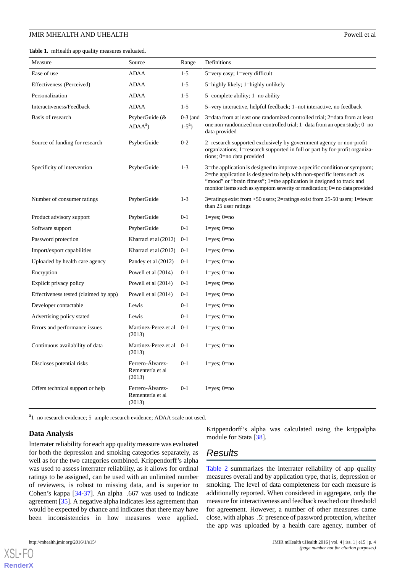<span id="page-3-0"></span>**Table 1.** mHealth app quality measures evaluated.

| Measure                               | Source                                         | Range                   | Definitions                                                                                                                                                                                                                                                                                                |
|---------------------------------------|------------------------------------------------|-------------------------|------------------------------------------------------------------------------------------------------------------------------------------------------------------------------------------------------------------------------------------------------------------------------------------------------------|
| Ease of use                           | <b>ADAA</b>                                    | $1 - 5$                 | $5 = \text{very easy}$ ; 1 = very difficult                                                                                                                                                                                                                                                                |
| Effectiveness (Perceived)             | ADAA                                           | $1-5$                   | 5=highly likely; 1=highly unlikely                                                                                                                                                                                                                                                                         |
| Personalization                       | ADAA                                           | $1-5$                   | $5 =$ complete ability; $1 =$ no ability                                                                                                                                                                                                                                                                   |
| Interactiveness/Feedback              | <b>ADAA</b>                                    | $1-5$                   | 5=very interactive, helpful feedback; 1=not interactive, no feedback                                                                                                                                                                                                                                       |
| Basis of research                     | PsyberGuide $(x$<br>$ADAAa$ )                  | $0-3$ (and<br>$1-5^a$ ) | 3=data from at least one randomized controlled trial; 2=data from at least<br>one non-randomized non-controlled trial; 1=data from an open study; 0=no<br>data provided                                                                                                                                    |
| Source of funding for research        | PsyberGuide                                    | $0 - 2$                 | 2=research supported exclusively by government agency or non-profit<br>organizations; 1=research supported in full or part by for-profit organiza-<br>tions; 0=no data provided                                                                                                                            |
| Specificity of intervention           | PsyberGuide                                    | $1 - 3$                 | 3=the application is designed to improve a specific condition or symptom;<br>2=the application is designed to help with non-specific items such as<br>"mood" or "brain fitness"; 1=the application is designed to track and<br>monitor items such as symptom severity or medication; $0=$ no data provided |
| Number of consumer ratings            | PsyberGuide                                    | $1 - 3$                 | $3$ =ratings exist from >50 users; $2$ =ratings exist from 25-50 users; 1=fewer<br>than 25 user ratings                                                                                                                                                                                                    |
| Product advisory support              | PsyberGuide                                    | $0 - 1$                 | $1 = yes$ ; $0 = no$                                                                                                                                                                                                                                                                                       |
| Software support                      | PsyberGuide                                    | $0 - 1$                 | $1 = yes$ ; $0 = no$                                                                                                                                                                                                                                                                                       |
| Password protection                   | Kharrazi et al (2012)                          | $0-1$                   | $1 = yes$ ; $0 = no$                                                                                                                                                                                                                                                                                       |
| Import/export capabilities            | Kharrazi et al (2012)                          | $0 - 1$                 | $1 = yes$ ; $0 = no$                                                                                                                                                                                                                                                                                       |
| Uploaded by health care agency        | Pandey et al (2012)                            | $0 - 1$                 | $1 = yes$ ; $0 = no$                                                                                                                                                                                                                                                                                       |
| Encryption                            | Powell et al (2014)                            | $0 - 1$                 | $1 = yes$ ; $0 = no$                                                                                                                                                                                                                                                                                       |
| Explicit privacy policy               | Powell et al (2014)                            | $0 - 1$                 | $1 = yes$ ; $0 = no$                                                                                                                                                                                                                                                                                       |
| Effectiveness tested (claimed by app) | Powell et al (2014)                            | $0 - 1$                 | $1 = yes$ ; $0 = no$                                                                                                                                                                                                                                                                                       |
| Developer contactable                 | Lewis                                          | $0 - 1$                 | $1 = yes$ ; $0 = no$                                                                                                                                                                                                                                                                                       |
| Advertising policy stated             | Lewis                                          | $0 - 1$                 | $1 = yes$ ; $0 = no$                                                                                                                                                                                                                                                                                       |
| Errors and performance issues         | Martinez-Perez et al<br>(2013)                 | $0 - 1$                 | $1 = yes$ ; $0 = no$                                                                                                                                                                                                                                                                                       |
| Continuous availability of data       | Martinez-Perez et al<br>(2013)                 | $0-1$                   | $1 = yes$ ; $0 = no$                                                                                                                                                                                                                                                                                       |
| Discloses potential risks             | Ferrero-Álvarez-<br>Rementería et al<br>(2013) | $0 - 1$                 | $1 = yes$ ; $0 = no$                                                                                                                                                                                                                                                                                       |
| Offers technical support or help      | Ferrero-Álvarez-<br>Rementería et al<br>(2013) | $0 - 1$                 | $1 = yes$ ; $0 = no$                                                                                                                                                                                                                                                                                       |

<sup>a</sup>1=no research evidence; 5=ample research evidence; ADAA scale not used.

#### **Data Analysis**

Interrater reliability for each app quality measure was evaluated for both the depression and smoking categories separately, as well as for the two categories combined. Krippendorff's alpha was used to assess interrater reliability, as it allows for ordinal ratings to be assigned, can be used with an unlimited number of reviewers, is robust to missing data, and is superior to Cohen's kappa [[34-](#page-8-0)[37](#page-8-1)]. An alpha .667 was used to indicate agreement [[35\]](#page-8-2). A negative alpha indicates less agreement than would be expected by chance and indicates that there may have been inconsistencies in how measures were applied.

 $X$ SL•F $O$ **[RenderX](http://www.renderx.com/)** Krippendorff's alpha was calculated using the krippalpha module for Stata [\[38](#page-8-3)].

### *Results*

[Table 2](#page-4-0) summarizes the interrater reliability of app quality measures overall and by application type, that is, depression or smoking. The level of data completeness for each measure is additionally reported. When considered in aggregate, only the measure for interactiveness and feedback reached our threshold for agreement. However, a number of other measures came close, with alphas .5: presence of password protection, whether the app was uploaded by a health care agency, number of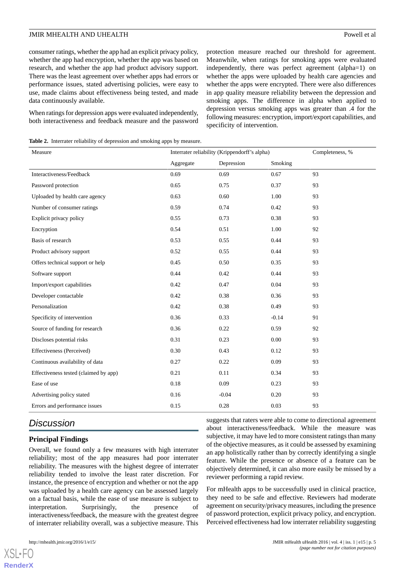consumer ratings, whether the app had an explicit privacy policy, whether the app had encryption, whether the app was based on research, and whether the app had product advisory support. There was the least agreement over whether apps had errors or performance issues, stated advertising policies, were easy to use, made claims about effectiveness being tested, and made data continuously available.

When ratings for depression apps were evaluated independently, both interactiveness and feedback measure and the password protection measure reached our threshold for agreement. Meanwhile, when ratings for smoking apps were evaluated independently, there was perfect agreement (alpha=1) on whether the apps were uploaded by health care agencies and whether the apps were encrypted. There were also differences in app quality measure reliability between the depression and smoking apps. The difference in alpha when applied to depression versus smoking apps was greater than .4 for the following measures: encryption, import/export capabilities, and specificity of intervention.

<span id="page-4-0"></span>**Table 2.** Interrater reliability of depression and smoking apps by measure.

| Measure                               | Interrater reliability (Krippendorff's alpha) |            |         | Completeness, % |
|---------------------------------------|-----------------------------------------------|------------|---------|-----------------|
|                                       | Aggregate                                     | Depression | Smoking |                 |
| Interactiveness/Feedback              | 0.69                                          | 0.69       | 0.67    | 93              |
| Password protection                   | 0.65                                          | 0.75       | 0.37    | 93              |
| Uploaded by health care agency        | 0.63                                          | 0.60       | 1.00    | 93              |
| Number of consumer ratings            | 0.59                                          | 0.74       | 0.42    | 93              |
| Explicit privacy policy               | 0.55                                          | 0.73       | 0.38    | 93              |
| Encryption                            | 0.54                                          | 0.51       | 1.00    | 92              |
| Basis of research                     | 0.53                                          | 0.55       | 0.44    | 93              |
| Product advisory support              | 0.52                                          | 0.55       | 0.44    | 93              |
| Offers technical support or help      | 0.45                                          | 0.50       | 0.35    | 93              |
| Software support                      | 0.44                                          | 0.42       | 0.44    | 93              |
| Import/export capabilities            | 0.42                                          | 0.47       | 0.04    | 93              |
| Developer contactable                 | 0.42                                          | 0.38       | 0.36    | 93              |
| Personalization                       | 0.42                                          | 0.38       | 0.49    | 93              |
| Specificity of intervention           | 0.36                                          | 0.33       | $-0.14$ | 91              |
| Source of funding for research        | 0.36                                          | 0.22       | 0.59    | 92              |
| Discloses potential risks             | 0.31                                          | 0.23       | 0.00    | 93              |
| Effectiveness (Perceived)             | 0.30                                          | 0.43       | 0.12    | 93              |
| Continuous availability of data       | 0.27                                          | 0.22       | 0.09    | 93              |
| Effectiveness tested (claimed by app) | 0.21                                          | 0.11       | 0.34    | 93              |
| Ease of use                           | 0.18                                          | 0.09       | 0.23    | 93              |
| Advertising policy stated             | 0.16                                          | $-0.04$    | 0.20    | 93              |
| Errors and performance issues         | 0.15                                          | 0.28       | 0.03    | 93              |

### *Discussion*

### **Principal Findings**

Overall, we found only a few measures with high interrater reliability; most of the app measures had poor interrater reliability. The measures with the highest degree of interrater reliability tended to involve the least rater discretion. For instance, the presence of encryption and whether or not the app was uploaded by a health care agency can be assessed largely on a factual basis, while the ease of use measure is subject to interpretation. Surprisingly, the presence of interactiveness/feedback, the measure with the greatest degree of interrater reliability overall, was a subjective measure. This

suggests that raters were able to come to directional agreement about interactiveness/feedback. While the measure was subjective, it may have led to more consistent ratings than many of the objective measures, as it could be assessed by examining an app holistically rather than by correctly identifying a single feature. While the presence or absence of a feature can be objectively determined, it can also more easily be missed by a reviewer performing a rapid review.

For mHealth apps to be successfully used in clinical practice, they need to be safe and effective. Reviewers had moderate agreement on security/privacy measures, including the presence of password protection, explicit privacy policy, and encryption. Perceived effectiveness had low interrater reliability suggesting

[XSL](http://www.w3.org/Style/XSL)•FO **[RenderX](http://www.renderx.com/)**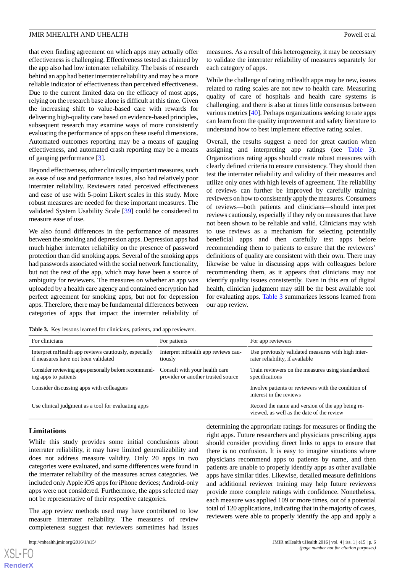that even finding agreement on which apps may actually offer effectiveness is challenging. Effectiveness tested as claimed by the app also had low interrater reliability. The basis of research behind an app had better interrater reliability and may be a more reliable indicator of effectiveness than perceived effectiveness. Due to the current limited data on the efficacy of most apps, relying on the research base alone is difficult at this time. Given the increasing shift to value-based care with rewards for delivering high-quality care based on evidence-based principles, subsequent research may examine ways of more consistently evaluating the performance of apps on these useful dimensions. Automated outcomes reporting may be a means of gauging effectiveness, and automated crash reporting may be a means of gauging performance [\[3](#page-6-2)].

Beyond effectiveness, other clinically important measures, such as ease of use and performance issues, also had relatively poor interrater reliability. Reviewers rated perceived effectiveness and ease of use with 5-point Likert scales in this study. More robust measures are needed for these important measures. The validated System Usability Scale [[39\]](#page-8-4) could be considered to measure ease of use.

We also found differences in the performance of measures between the smoking and depression apps. Depression apps had much higher interrater reliability on the presence of password protection than did smoking apps. Several of the smoking apps had passwords associated with the social network functionality, but not the rest of the app, which may have been a source of ambiguity for reviewers. The measures on whether an app was uploaded by a health care agency and contained encryption had perfect agreement for smoking apps, but not for depression apps. Therefore, there may be fundamental differences between categories of apps that impact the interrater reliability of measures. As a result of this heterogeneity, it may be necessary to validate the interrater reliability of measures separately for each category of apps.

While the challenge of rating mHealth apps may be new, issues related to rating scales are not new to health care. Measuring quality of care of hospitals and health care systems is challenging, and there is also at times little consensus between various metrics [\[40](#page-8-5)]. Perhaps organizations seeking to rate apps can learn from the quality improvement and safety literature to understand how to best implement effective rating scales.

Overall, the results suggest a need for great caution when assigning and interpreting app ratings (see [Table 3\)](#page-5-0). Organizations rating apps should create robust measures with clearly defined criteria to ensure consistency. They should then test the interrater reliability and validity of their measures and utilize only ones with high levels of agreement. The reliability of reviews can further be improved by carefully training reviewers on how to consistently apply the measures. Consumers of reviews—both patients and clinicians—should interpret reviews cautiously, especially if they rely on measures that have not been shown to be reliable and valid. Clinicians may wish to use reviews as a mechanism for selecting potentially beneficial apps and then carefully test apps before recommending them to patients to ensure that the reviewers' definitions of quality are consistent with their own. There may likewise be value in discussing apps with colleagues before recommending them, as it appears that clinicians may not identify quality issues consistently. Even in this era of digital health, clinician judgment may still be the best available tool for evaluating apps. [Table 3](#page-5-0) summarizes lessons learned from our app review.

<span id="page-5-0"></span>Table 3. Key lessons learned for clinicians, patients, and app reviewers.

| For clinicians                                                                              | For patients                                                        | For app reviewers                                                                             |  |
|---------------------------------------------------------------------------------------------|---------------------------------------------------------------------|-----------------------------------------------------------------------------------------------|--|
| Interpret mHealth app reviews cautiously, especially<br>if measures have not been validated | Interpret mHealth app reviews cau-<br>tiously                       | Use previously validated measures with high inter-<br>rater reliability, if available         |  |
| Consider reviewing apps personally before recommend-<br>ing apps to patients                | Consult with your health care<br>provider or another trusted source | Train reviewers on the measures using standardized<br>specifications                          |  |
| Consider discussing apps with colleagues                                                    |                                                                     | Involve patients or reviewers with the condition of<br>interest in the reviews                |  |
| Use clinical judgment as a tool for evaluating apps                                         |                                                                     | Record the name and version of the app being re-<br>viewed, as well as the date of the review |  |

#### **Limitations**

While this study provides some initial conclusions about interrater reliability, it may have limited generalizability and does not address measure validity. Only 20 apps in two categories were evaluated, and some differences were found in the interrater reliability of the measures across categories. We included only Apple iOS apps for iPhone devices; Android-only apps were not considered. Furthermore, the apps selected may not be representative of their respective categories.

The app review methods used may have contributed to low measure interrater reliability. The measures of review completeness suggest that reviewers sometimes had issues

 $XSI - F($ **[RenderX](http://www.renderx.com/)** determining the appropriate ratings for measures or finding the right apps. Future researchers and physicians prescribing apps should consider providing direct links to apps to ensure that there is no confusion. It is easy to imagine situations where physicians recommend apps to patients by name, and then patients are unable to properly identify apps as other available apps have similar titles. Likewise, detailed measure definitions and additional reviewer training may help future reviewers provide more complete ratings with confidence. Nonetheless, each measure was applied 109 or more times, out of a potential total of 120 applications, indicating that in the majority of cases, reviewers were able to properly identify the app and apply a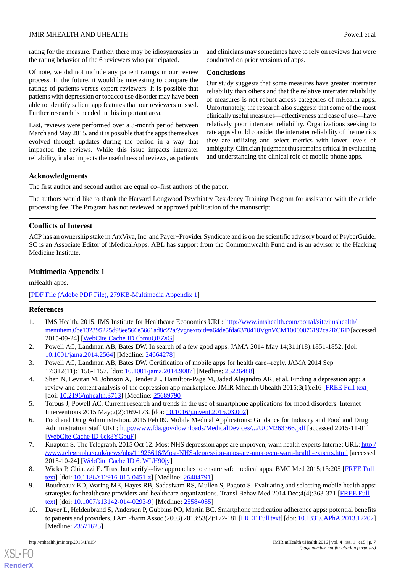rating for the measure. Further, there may be idiosyncrasies in the rating behavior of the 6 reviewers who participated.

Of note, we did not include any patient ratings in our review process. In the future, it would be interesting to compare the ratings of patients versus expert reviewers. It is possible that patients with depression or tobacco use disorder may have been able to identify salient app features that our reviewers missed. Further research is needed in this important area.

Last, reviews were performed over a 3-month period between March and May 2015, and it is possible that the apps themselves evolved through updates during the period in a way that impacted the reviews. While this issue impacts interrater reliability, it also impacts the usefulness of reviews, as patients and clinicians may sometimes have to rely on reviews that were conducted on prior versions of apps.

#### **Conclusions**

Our study suggests that some measures have greater interrater reliability than others and that the relative interrater reliability of measures is not robust across categories of mHealth apps. Unfortunately, the research also suggests that some of the most clinically useful measures—effectiveness and ease of use—have relatively poor interrater reliability. Organizations seeking to rate apps should consider the interrater reliability of the metrics they are utilizing and select metrics with lower levels of ambiguity. Clinician judgment thus remains critical in evaluating and understanding the clinical role of mobile phone apps.

### **Acknowledgments**

The first author and second author are equal co–first authors of the paper.

The authors would like to thank the Harvard Longwood Psychiatry Residency Training Program for assistance with the article processing fee. The Program has not reviewed or approved publication of the manuscript.

### **Conflicts of Interest**

<span id="page-6-9"></span>ACP has an ownership stake in ArxViva, Inc. and Payer+Provider Syndicate and is on the scientific advisory board of PsyberGuide. SC is an Associate Editor of iMedicalApps. ABL has support from the Commonwealth Fund and is an advisor to the Hacking Medicine Institute.

### **Multimedia Appendix 1**

mHealth apps.

### <span id="page-6-0"></span>[[PDF File \(Adobe PDF File\), 279KB-Multimedia Appendix 1](https://jmir.org/api/download?alt_name=mhealth_v4i1e15_app1.pdf&filename=7ae889984af62545c853aea1dd40f52c.pdf)]

### <span id="page-6-1"></span>**References**

- <span id="page-6-2"></span>1. IMS Health. 2015. IMS Institute for Healthcare Economics URL: [http://www.imshealth.com/portal/site/imshealth/](http://www.imshealth.com/portal/site/imshealth/menuitem.0be132395225d98ee566e5661ad8c22a/?vgnextoid=a64de5fda6370410VgnVCM10000076192ca2RCRD) [menuitem.0be132395225d98ee566e5661ad8c22a/?vgnextoid=a64de5fda6370410VgnVCM10000076192ca2RCRD](http://www.imshealth.com/portal/site/imshealth/menuitem.0be132395225d98ee566e5661ad8c22a/?vgnextoid=a64de5fda6370410VgnVCM10000076192ca2RCRD) [accessed 2015-09-24] [\[WebCite Cache ID 6bmuQEZsG\]](http://www.webcitation.org/

                                6bmuQEZsG)
- <span id="page-6-3"></span>2. Powell AC, Landman AB, Bates DW. In search of a few good apps. JAMA 2014 May 14;311(18):1851-1852. [doi: [10.1001/jama.2014.2564](http://dx.doi.org/10.1001/jama.2014.2564)] [Medline: [24664278](http://www.ncbi.nlm.nih.gov/entrez/query.fcgi?cmd=Retrieve&db=PubMed&list_uids=24664278&dopt=Abstract)]
- <span id="page-6-4"></span>3. Powell AC, Landman AB, Bates DW. Certification of mobile apps for health care--reply. JAMA 2014 Sep 17;312(11):1156-1157. [doi: [10.1001/jama.2014.9007](http://dx.doi.org/10.1001/jama.2014.9007)] [Medline: [25226488\]](http://www.ncbi.nlm.nih.gov/entrez/query.fcgi?cmd=Retrieve&db=PubMed&list_uids=25226488&dopt=Abstract)
- <span id="page-6-5"></span>4. Shen N, Levitan M, Johnson A, Bender JL, Hamilton-Page M, Jadad Alejandro AR, et al. Finding a depression app: a review and content analysis of the depression app marketplace. JMIR Mhealth Uhealth 2015;3(1):e16 [[FREE Full text](http://mhealth.jmir.org/2015/1/e16/)] [doi: [10.2196/mhealth.3713\]](http://dx.doi.org/10.2196/mhealth.3713) [Medline: [25689790\]](http://www.ncbi.nlm.nih.gov/entrez/query.fcgi?cmd=Retrieve&db=PubMed&list_uids=25689790&dopt=Abstract)
- <span id="page-6-6"></span>5. Torous J, Powell AC. Current research and trends in the use of smartphone applications for mood disorders. Internet Interventions 2015 May;2(2):169-173. [doi: [10.1016/j.invent.2015.03.002\]](http://dx.doi.org/10.1016/j.invent.2015.03.002)
- <span id="page-6-7"></span>6. Food and Drug Administration. 2015 Feb 09. Mobile Medical Applications: Guidance for Industry and Food and Drug Administration Staff URL: <http://www.fda.gov/downloads/MedicalDevices/.../UCM263366.pdf> [accessed 2015-11-01] [[WebCite Cache ID 6ek8YGpuF](http://www.webcitation.org/

                                6ek8YGpuF)]
- <span id="page-6-8"></span>7. Knapton S. The Telegraph. 2015 Oct 12. Most NHS depression apps are unproven, warn health experts Internet URL: [http:/](http://www.telegraph.co.uk/news/nhs/11926616/Most-NHS-depression-apps-are-unproven-warn-health-experts.html) [/www.telegraph.co.uk/news/nhs/11926616/Most-NHS-depression-apps-are-unproven-warn-health-experts.html](http://www.telegraph.co.uk/news/nhs/11926616/Most-NHS-depression-apps-are-unproven-warn-health-experts.html) [accessed 2015-10-24] [\[WebCite Cache ID 6cWLH90jy](http://www.webcitation.org/

                                6cWLH90jy)]
- 8. Wicks P, Chiauzzi E. 'Trust but verify'--five approaches to ensure safe medical apps. BMC Med 2015;13:205 [[FREE Full](http://bmcmedicine.biomedcentral.com/articles/10.1186/s12916-015-0451-z) [text](http://bmcmedicine.biomedcentral.com/articles/10.1186/s12916-015-0451-z)] [doi: [10.1186/s12916-015-0451-z](http://dx.doi.org/10.1186/s12916-015-0451-z)] [Medline: [26404791\]](http://www.ncbi.nlm.nih.gov/entrez/query.fcgi?cmd=Retrieve&db=PubMed&list_uids=26404791&dopt=Abstract)
- 9. Boudreaux ED, Waring ME, Hayes RB, Sadasivam RS, Mullen S, Pagoto S. Evaluating and selecting mobile health apps: strategies for healthcare providers and healthcare organizations. Transl Behav Med 2014 Dec;4(4):363-371 [\[FREE Full](http://europepmc.org/abstract/MED/25584085) [text](http://europepmc.org/abstract/MED/25584085)] [doi: [10.1007/s13142-014-0293-9\]](http://dx.doi.org/10.1007/s13142-014-0293-9) [Medline: [25584085](http://www.ncbi.nlm.nih.gov/entrez/query.fcgi?cmd=Retrieve&db=PubMed&list_uids=25584085&dopt=Abstract)]
- 10. Dayer L, Heldenbrand S, Anderson P, Gubbins PO, Martin BC. Smartphone medication adherence apps: potential benefits to patients and providers. J Am Pharm Assoc (2003) 2013;53(2):172-181 [\[FREE Full text](http://europepmc.org/abstract/MED/23571625)] [doi: [10.1331/JAPhA.2013.12202\]](http://dx.doi.org/10.1331/JAPhA.2013.12202) [Medline: [23571625](http://www.ncbi.nlm.nih.gov/entrez/query.fcgi?cmd=Retrieve&db=PubMed&list_uids=23571625&dopt=Abstract)]

[XSL](http://www.w3.org/Style/XSL)•FO **[RenderX](http://www.renderx.com/)**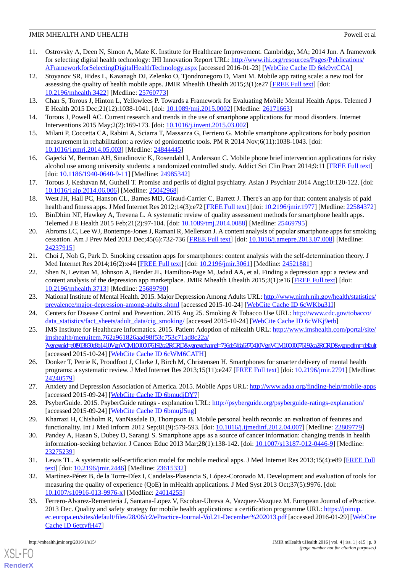- <span id="page-7-0"></span>11. Ostrovsky A, Deen N, Simon A, Mate K. Institute for Healthcare Improvement. Cambridge, MA; 2014 Jun. A framework for selecting digital health technology: IHI Innovation Report URL: [http://www.ihi.org/resources/Pages/Publications/](http://www.ihi.org/resources/Pages/Publications/AFrameworkforSelectingDigitalHealthTechnology.aspx) [AFrameworkforSelectingDigitalHealthTechnology.aspx](http://www.ihi.org/resources/Pages/Publications/AFrameworkforSelectingDigitalHealthTechnology.aspx) [accessed 2016-01-23] [\[WebCite Cache ID 6ek9vtCCA\]](http://www.webcitation.org/

                                6ek9vtCCA)
- <span id="page-7-1"></span>12. Stoyanov SR, Hides L, Kavanagh DJ, Zelenko O, Tjondronegoro D, Mani M. Mobile app rating scale: a new tool for assessing the quality of health mobile apps. JMIR Mhealth Uhealth 2015;3(1):e27 [\[FREE Full text\]](http://mhealth.jmir.org/2015/1/e27/) [doi: [10.2196/mhealth.3422](http://dx.doi.org/10.2196/mhealth.3422)] [Medline: [25760773](http://www.ncbi.nlm.nih.gov/entrez/query.fcgi?cmd=Retrieve&db=PubMed&list_uids=25760773&dopt=Abstract)]
- <span id="page-7-2"></span>13. Chan S, Torous J, Hinton L, Yellowlees P. Towards a Framework for Evaluating Mobile Mental Health Apps. Telemed J E Health 2015 Dec;21(12):1038-1041. [doi: [10.1089/tmj.2015.0002](http://dx.doi.org/10.1089/tmj.2015.0002)] [Medline: [26171663](http://www.ncbi.nlm.nih.gov/entrez/query.fcgi?cmd=Retrieve&db=PubMed&list_uids=26171663&dopt=Abstract)]
- <span id="page-7-3"></span>14. Torous J, Powell AC. Current research and trends in the use of smartphone applications for mood disorders. Internet Interventions 2015 May;2(2):169-173. [doi: [10.1016/j.invent.2015.03.002\]](http://dx.doi.org/10.1016/j.invent.2015.03.002)
- <span id="page-7-4"></span>15. Milani P, Coccetta CA, Rabini A, Sciarra T, Massazza G, Ferriero G. Mobile smartphone applications for body position measurement in rehabilitation: a review of goniometric tools. PM R 2014 Nov;6(11):1038-1043. [doi: [10.1016/j.pmrj.2014.05.003](http://dx.doi.org/10.1016/j.pmrj.2014.05.003)] [Medline: [24844445](http://www.ncbi.nlm.nih.gov/entrez/query.fcgi?cmd=Retrieve&db=PubMed&list_uids=24844445&dopt=Abstract)]
- <span id="page-7-5"></span>16. Gajecki M, Berman AH, Sinadinovic K, Rosendahl I, Andersson C. Mobile phone brief intervention applications for risky alcohol use among university students: a randomized controlled study. Addict Sci Clin Pract 2014;9:11 [\[FREE Full text](http://ascpjournal.biomedcentral.com/articles/10.1186/1940-0640-9-11)] [doi: [10.1186/1940-0640-9-11](http://dx.doi.org/10.1186/1940-0640-9-11)] [Medline: [24985342\]](http://www.ncbi.nlm.nih.gov/entrez/query.fcgi?cmd=Retrieve&db=PubMed&list_uids=24985342&dopt=Abstract)
- <span id="page-7-6"></span>17. Torous J, Keshavan M, Gutheil T. Promise and perils of digital psychiatry. Asian J Psychiatr 2014 Aug;10:120-122. [doi: [10.1016/j.ajp.2014.06.006\]](http://dx.doi.org/10.1016/j.ajp.2014.06.006) [Medline: [25042968\]](http://www.ncbi.nlm.nih.gov/entrez/query.fcgi?cmd=Retrieve&db=PubMed&list_uids=25042968&dopt=Abstract)
- <span id="page-7-7"></span>18. West JH, Hall PC, Hanson CL, Barnes MD, Giraud-Carrier C, Barrett J. There's an app for that: content analysis of paid health and fitness apps. J Med Internet Res 2012;14(3):e72 [\[FREE Full text\]](http://www.jmir.org/2012/3/e72/) [doi: [10.2196/jmir.1977\]](http://dx.doi.org/10.2196/jmir.1977) [Medline: [22584372](http://www.ncbi.nlm.nih.gov/entrez/query.fcgi?cmd=Retrieve&db=PubMed&list_uids=22584372&dopt=Abstract)]
- <span id="page-7-8"></span>19. BinDhim NF, Hawkey A, Trevena L. A systematic review of quality assessment methods for smartphone health apps. Telemed J E Health 2015 Feb;21(2):97-104. [doi: [10.1089/tmj.2014.0088](http://dx.doi.org/10.1089/tmj.2014.0088)] [Medline: [25469795](http://www.ncbi.nlm.nih.gov/entrez/query.fcgi?cmd=Retrieve&db=PubMed&list_uids=25469795&dopt=Abstract)]
- 20. Abroms LC, Lee WJ, Bontemps-Jones J, Ramani R, Mellerson J. A content analysis of popular smartphone apps for smoking cessation. Am J Prev Med 2013 Dec;45(6):732-736 [\[FREE Full text\]](http://europepmc.org/abstract/MED/24237915) [doi: [10.1016/j.amepre.2013.07.008\]](http://dx.doi.org/10.1016/j.amepre.2013.07.008) [Medline: [24237915](http://www.ncbi.nlm.nih.gov/entrez/query.fcgi?cmd=Retrieve&db=PubMed&list_uids=24237915&dopt=Abstract)]
- <span id="page-7-9"></span>21. Choi J, Noh G, Park D. Smoking cessation apps for smartphones: content analysis with the self-determination theory. J Med Internet Res 2014;16(2):e44 [[FREE Full text](http://www.jmir.org/2014/2/e44/)] [doi: [10.2196/jmir.3061\]](http://dx.doi.org/10.2196/jmir.3061) [Medline: [24521881](http://www.ncbi.nlm.nih.gov/entrez/query.fcgi?cmd=Retrieve&db=PubMed&list_uids=24521881&dopt=Abstract)]
- <span id="page-7-11"></span><span id="page-7-10"></span>22. Shen N, Levitan M, Johnson A, Bender JL, Hamilton-Page M, Jadad AA, et al. Finding a depression app: a review and content analysis of the depression app marketplace. JMIR Mhealth Uhealth 2015;3(1):e16 [\[FREE Full text\]](http://mhealth.jmir.org/2015/1/e16/) [doi: [10.2196/mhealth.3713](http://dx.doi.org/10.2196/mhealth.3713)] [Medline: [25689790](http://www.ncbi.nlm.nih.gov/entrez/query.fcgi?cmd=Retrieve&db=PubMed&list_uids=25689790&dopt=Abstract)]
- <span id="page-7-12"></span>23. National Institute of Mental Health. 2015. Major Depression Among Adults URL: [http://www.nimh.nih.gov/health/statistics/](http://www.nimh.nih.gov/health/statistics/prevalence/major-depression-among-adults.shtml) [prevalence/major-depression-among-adults.shtml](http://www.nimh.nih.gov/health/statistics/prevalence/major-depression-among-adults.shtml) [accessed 2015-10-24] [[WebCite Cache ID 6cWKbu31I\]](http://www.webcitation.org/

                                6cWKbu31I)
- 24. Centers for Disease Control and Prevention. 2015 Aug 25. Smoking & Tobacco Use URL: [http://www.cdc.gov/tobacco/](http://www.cdc.gov/tobacco/data_statistics/fact_sheets/adult_data/cig_smoking/) [data\\_statistics/fact\\_sheets/adult\\_data/cig\\_smoking/](http://www.cdc.gov/tobacco/data_statistics/fact_sheets/adult_data/cig_smoking/) [accessed 2015-10-24] [\[WebCite Cache ID 6cWKj9etb](http://www.webcitation.org/

                                6cWKj9etb)]
- <span id="page-7-13"></span>25. IMS Institute for Healthcare Informatics. 2015. Patient Adoption of mHealth URL: [http://www.imshealth.com/portal/site/](http://www.imshealth.com/portal/site/imshealth/menuitem.762a961826aad98f53c753c71ad8c22a/?vgnextoid=e0f913850c8b1410VgnVCM10000076192ca2RCRD&vgnextchannel=736de5fda6370410VgnVCM10000076192ca2RCRD&vgnextfmt=default) [imshealth/menuitem.762a961826aad98f53c753c71ad8c22a/](http://www.imshealth.com/portal/site/imshealth/menuitem.762a961826aad98f53c753c71ad8c22a/?vgnextoid=e0f913850c8b1410VgnVCM10000076192ca2RCRD&vgnextchannel=736de5fda6370410VgnVCM10000076192ca2RCRD&vgnextfmt=default) [?vgnextoid=e0f913850c8b1410VgnVCM10000076192ca2RCRD&vgnextchannel=736de5fda6370410VgnVCM10000076192ca2RCRD&vgnextfmt=default](http://www.imshealth.com/portal/site/imshealth/menuitem.762a961826aad98f53c753c71ad8c22a/?vgnextoid=e0f913850c8b1410VgnVCM10000076192ca2RCRD&vgnextchannel=736de5fda6370410VgnVCM10000076192ca2RCRD&vgnextfmt=default) [accessed 2015-10-24] [\[WebCite Cache ID 6cWM6CATH\]](http://www.webcitation.org/

                                6cWM6CATH)
- <span id="page-7-15"></span><span id="page-7-14"></span>26. Donker T, Petrie K, Proudfoot J, Clarke J, Birch M, Christensen H. Smartphones for smarter delivery of mental health programs: a systematic review. J Med Internet Res 2013;15(11):e247 [[FREE Full text\]](http://www.jmir.org/2013/11/e247/) [doi: [10.2196/jmir.2791\]](http://dx.doi.org/10.2196/jmir.2791) [Medline: [24240579](http://www.ncbi.nlm.nih.gov/entrez/query.fcgi?cmd=Retrieve&db=PubMed&list_uids=24240579&dopt=Abstract)]
- <span id="page-7-17"></span><span id="page-7-16"></span>27. Anxiety and Depression Association of America. 2015. Mobile Apps URL:<http://www.adaa.org/finding-help/mobile-apps> [accessed 2015-09-24] [\[WebCite Cache ID 6bmudjDY7](http://www.webcitation.org/

                                6bmudjDY7)]
- 28. PsyberGuide. 2015. PsyberGuide ratings explanation URL:<http://psyberguide.org/psyberguide-ratings-explanation/> [accessed 2015-09-24] [\[WebCite Cache ID 6bmujJ5ug](http://www.webcitation.org/

                                6bmujJ5ug)]
- <span id="page-7-18"></span>29. Kharrazi H, Chisholm R, VanNasdale D, Thompson B. Mobile personal health records: an evaluation of features and functionality. Int J Med Inform 2012 Sep;81(9):579-593. [doi: [10.1016/j.ijmedinf.2012.04.007](http://dx.doi.org/10.1016/j.ijmedinf.2012.04.007)] [Medline: [22809779](http://www.ncbi.nlm.nih.gov/entrez/query.fcgi?cmd=Retrieve&db=PubMed&list_uids=22809779&dopt=Abstract)]
- <span id="page-7-19"></span>30. Pandey A, Hasan S, Dubey D, Sarangi S. Smartphone apps as a source of cancer information: changing trends in health information-seeking behavior. J Cancer Educ 2013 Mar;28(1):138-142. [doi: [10.1007/s13187-012-0446-9\]](http://dx.doi.org/10.1007/s13187-012-0446-9) [Medline: [23275239](http://www.ncbi.nlm.nih.gov/entrez/query.fcgi?cmd=Retrieve&db=PubMed&list_uids=23275239&dopt=Abstract)]
- <span id="page-7-20"></span>31. Lewis TL. A systematic self-certification model for mobile medical apps. J Med Internet Res 2013;15(4):e89 [\[FREE Full](http://www.jmir.org/2013/4/e89/) [text](http://www.jmir.org/2013/4/e89/)] [doi: [10.2196/jmir.2446](http://dx.doi.org/10.2196/jmir.2446)] [Medline: [23615332](http://www.ncbi.nlm.nih.gov/entrez/query.fcgi?cmd=Retrieve&db=PubMed&list_uids=23615332&dopt=Abstract)]
- 32. Martínez-Pérez B, de la Torre-Díez I, Candelas-Plasencia S, López-Coronado M. Development and evaluation of tools for measuring the quality of experience (QoE) in mHealth applications. J Med Syst 2013 Oct;37(5):9976. [doi: [10.1007/s10916-013-9976-x\]](http://dx.doi.org/10.1007/s10916-013-9976-x) [Medline: [24014255](http://www.ncbi.nlm.nih.gov/entrez/query.fcgi?cmd=Retrieve&db=PubMed&list_uids=24014255&dopt=Abstract)]
- 33. Ferrero-Alvarez-Rementeria J, Santana-Lopez V, Escobar-Ubreva A, Vazquez-Vazquez M. European Journal of ePractice. 2013 Dec. Quality and safety strategy for mobile health applications: a certification programme URL: [https://joinup.](https://joinup.ec.europa.eu/sites/default/files/28/06/c2/ePractice-Journal-Vol.21-December%202013.pdf) [ec.europa.eu/sites/default/files/28/06/c2/ePractice-Journal-Vol.21-December%202013.pdf](https://joinup.ec.europa.eu/sites/default/files/28/06/c2/ePractice-Journal-Vol.21-December%202013.pdf) [accessed 2016-01-29] [\[WebCite](http://www.webcitation.org/

                                6etzyfH47) [Cache ID 6etzyfH47](http://www.webcitation.org/

                                6etzyfH47)]